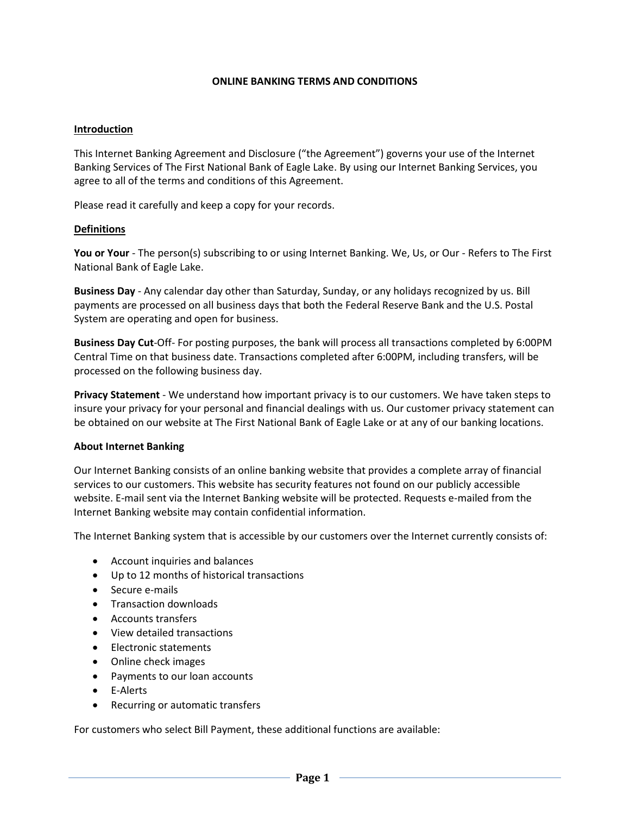#### **ONLINE BANKING TERMS AND CONDITIONS**

#### **Introduction**

This Internet Banking Agreement and Disclosure ("the Agreement") governs your use of the Internet Banking Services of The First National Bank of Eagle Lake. By using our Internet Banking Services, you agree to all of the terms and conditions of this Agreement.

Please read it carefully and keep a copy for your records.

#### **Definitions**

**You or Your** - The person(s) subscribing to or using Internet Banking. We, Us, or Our - Refers to The First National Bank of Eagle Lake.

**Business Day** - Any calendar day other than Saturday, Sunday, or any holidays recognized by us. Bill payments are processed on all business days that both the Federal Reserve Bank and the U.S. Postal System are operating and open for business.

**Business Day Cut**-Off- For posting purposes, the bank will process all transactions completed by 6:00PM Central Time on that business date. Transactions completed after 6:00PM, including transfers, will be processed on the following business day.

**Privacy Statement** - We understand how important privacy is to our customers. We have taken steps to insure your privacy for your personal and financial dealings with us. Our customer privacy statement can be obtained on our website at The First National Bank of Eagle Lake or at any of our banking locations.

#### **About Internet Banking**

Our Internet Banking consists of an online banking website that provides a complete array of financial services to our customers. This website has security features not found on our publicly accessible website. E-mail sent via the Internet Banking website will be protected. Requests e-mailed from the Internet Banking website may contain confidential information.

The Internet Banking system that is accessible by our customers over the Internet currently consists of:

- Account inquiries and balances
- Up to 12 months of historical transactions
- Secure e-mails
- Transaction downloads
- Accounts transfers
- View detailed transactions
- Electronic statements
- Online check images
- Payments to our loan accounts
- E-Alerts
- Recurring or automatic transfers

For customers who select Bill Payment, these additional functions are available: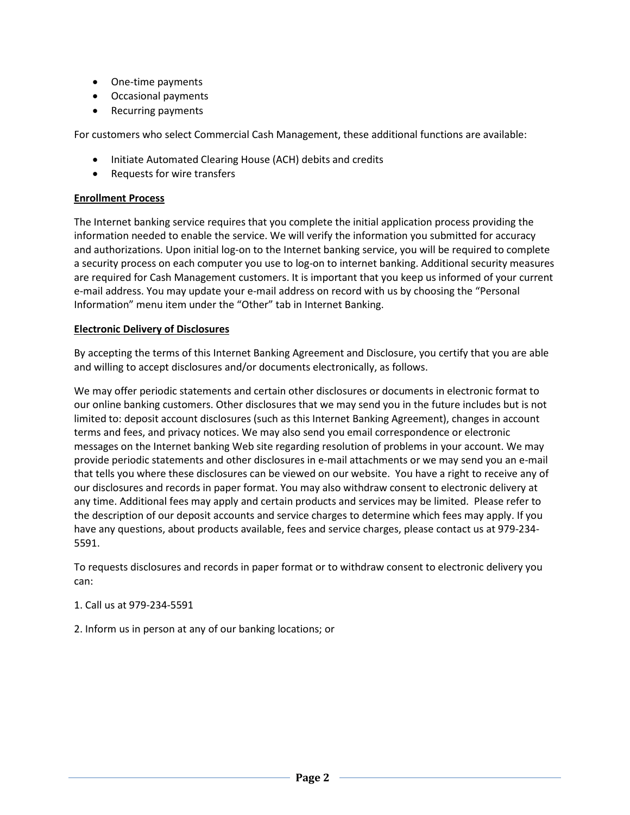- One-time payments
- Occasional payments
- Recurring payments

For customers who select Commercial Cash Management, these additional functions are available:

- Initiate Automated Clearing House (ACH) debits and credits
- Requests for wire transfers

# **Enrollment Process**

The Internet banking service requires that you complete the initial application process providing the information needed to enable the service. We will verify the information you submitted for accuracy and authorizations. Upon initial log-on to the Internet banking service, you will be required to complete a security process on each computer you use to log-on to internet banking. Additional security measures are required for Cash Management customers. It is important that you keep us informed of your current e-mail address. You may update your e-mail address on record with us by choosing the "Personal Information" menu item under the "Other" tab in Internet Banking.

## **Electronic Delivery of Disclosures**

By accepting the terms of this Internet Banking Agreement and Disclosure, you certify that you are able and willing to accept disclosures and/or documents electronically, as follows.

We may offer periodic statements and certain other disclosures or documents in electronic format to our online banking customers. Other disclosures that we may send you in the future includes but is not limited to: deposit account disclosures (such as this Internet Banking Agreement), changes in account terms and fees, and privacy notices. We may also send you email correspondence or electronic messages on the Internet banking Web site regarding resolution of problems in your account. We may provide periodic statements and other disclosures in e-mail attachments or we may send you an e-mail that tells you where these disclosures can be viewed on our website. You have a right to receive any of our disclosures and records in paper format. You may also withdraw consent to electronic delivery at any time. Additional fees may apply and certain products and services may be limited. Please refer to the description of our deposit accounts and service charges to determine which fees may apply. If you have any questions, about products available, fees and service charges, please contact us at 979-234- 5591.

To requests disclosures and records in paper format or to withdraw consent to electronic delivery you can:

## 1. Call us at 979-234-5591

2. Inform us in person at any of our banking locations; or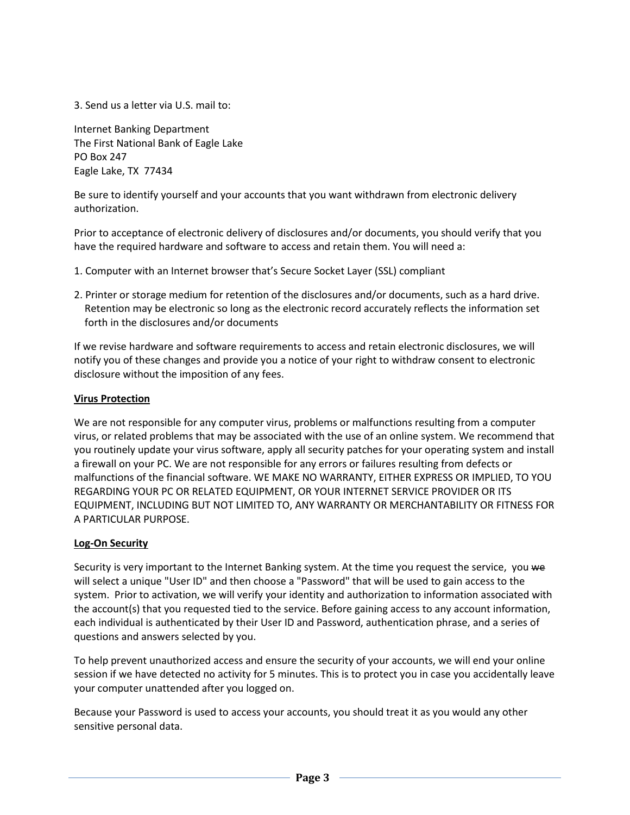3. Send us a letter via U.S. mail to:

Internet Banking Department The First National Bank of Eagle Lake PO Box 247 Eagle Lake, TX 77434

Be sure to identify yourself and your accounts that you want withdrawn from electronic delivery authorization.

Prior to acceptance of electronic delivery of disclosures and/or documents, you should verify that you have the required hardware and software to access and retain them. You will need a:

- 1. Computer with an Internet browser that's Secure Socket Layer (SSL) compliant
- 2. Printer or storage medium for retention of the disclosures and/or documents, such as a hard drive. Retention may be electronic so long as the electronic record accurately reflects the information set forth in the disclosures and/or documents

If we revise hardware and software requirements to access and retain electronic disclosures, we will notify you of these changes and provide you a notice of your right to withdraw consent to electronic disclosure without the imposition of any fees.

### **Virus Protection**

We are not responsible for any computer virus, problems or malfunctions resulting from a computer virus, or related problems that may be associated with the use of an online system. We recommend that you routinely update your virus software, apply all security patches for your operating system and install a firewall on your PC. We are not responsible for any errors or failures resulting from defects or malfunctions of the financial software. WE MAKE NO WARRANTY, EITHER EXPRESS OR IMPLIED, TO YOU REGARDING YOUR PC OR RELATED EQUIPMENT, OR YOUR INTERNET SERVICE PROVIDER OR ITS EQUIPMENT, INCLUDING BUT NOT LIMITED TO, ANY WARRANTY OR MERCHANTABILITY OR FITNESS FOR A PARTICULAR PURPOSE.

#### **Log-On Security**

Security is very important to the Internet Banking system. At the time you request the service, you we will select a unique "User ID" and then choose a "Password" that will be used to gain access to the system. Prior to activation, we will verify your identity and authorization to information associated with the account(s) that you requested tied to the service. Before gaining access to any account information, each individual is authenticated by their User ID and Password, authentication phrase, and a series of questions and answers selected by you.

To help prevent unauthorized access and ensure the security of your accounts, we will end your online session if we have detected no activity for 5 minutes. This is to protect you in case you accidentally leave your computer unattended after you logged on.

Because your Password is used to access your accounts, you should treat it as you would any other sensitive personal data.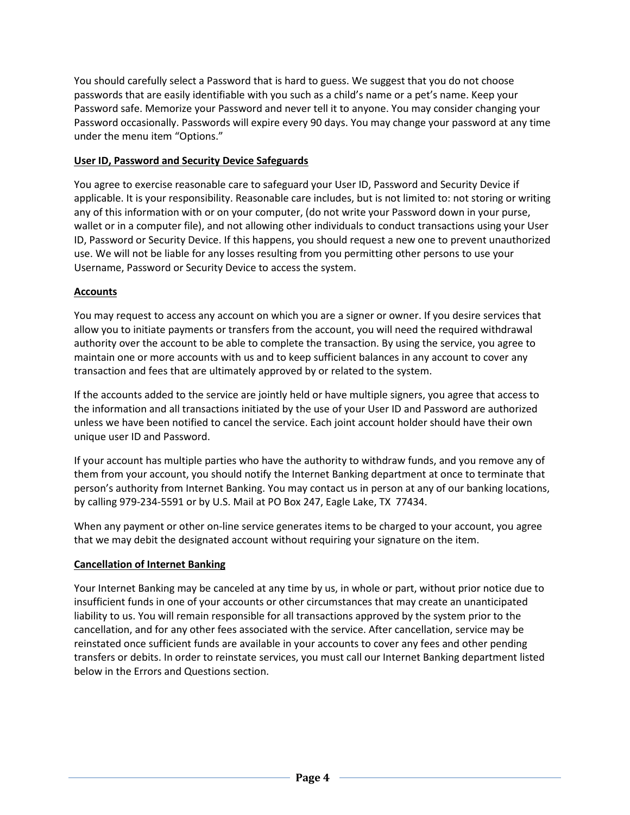You should carefully select a Password that is hard to guess. We suggest that you do not choose passwords that are easily identifiable with you such as a child's name or a pet's name. Keep your Password safe. Memorize your Password and never tell it to anyone. You may consider changing your Password occasionally. Passwords will expire every 90 days. You may change your password at any time under the menu item "Options."

## **User ID, Password and Security Device Safeguards**

You agree to exercise reasonable care to safeguard your User ID, Password and Security Device if applicable. It is your responsibility. Reasonable care includes, but is not limited to: not storing or writing any of this information with or on your computer, (do not write your Password down in your purse, wallet or in a computer file), and not allowing other individuals to conduct transactions using your User ID, Password or Security Device. If this happens, you should request a new one to prevent unauthorized use. We will not be liable for any losses resulting from you permitting other persons to use your Username, Password or Security Device to access the system.

### **Accounts**

You may request to access any account on which you are a signer or owner. If you desire services that allow you to initiate payments or transfers from the account, you will need the required withdrawal authority over the account to be able to complete the transaction. By using the service, you agree to maintain one or more accounts with us and to keep sufficient balances in any account to cover any transaction and fees that are ultimately approved by or related to the system.

If the accounts added to the service are jointly held or have multiple signers, you agree that access to the information and all transactions initiated by the use of your User ID and Password are authorized unless we have been notified to cancel the service. Each joint account holder should have their own unique user ID and Password.

If your account has multiple parties who have the authority to withdraw funds, and you remove any of them from your account, you should notify the Internet Banking department at once to terminate that person's authority from Internet Banking. You may contact us in person at any of our banking locations, by calling 979-234-5591 or by U.S. Mail at PO Box 247, Eagle Lake, TX 77434.

When any payment or other on-line service generates items to be charged to your account, you agree that we may debit the designated account without requiring your signature on the item.

#### **Cancellation of Internet Banking**

Your Internet Banking may be canceled at any time by us, in whole or part, without prior notice due to insufficient funds in one of your accounts or other circumstances that may create an unanticipated liability to us. You will remain responsible for all transactions approved by the system prior to the cancellation, and for any other fees associated with the service. After cancellation, service may be reinstated once sufficient funds are available in your accounts to cover any fees and other pending transfers or debits. In order to reinstate services, you must call our Internet Banking department listed below in the Errors and Questions section.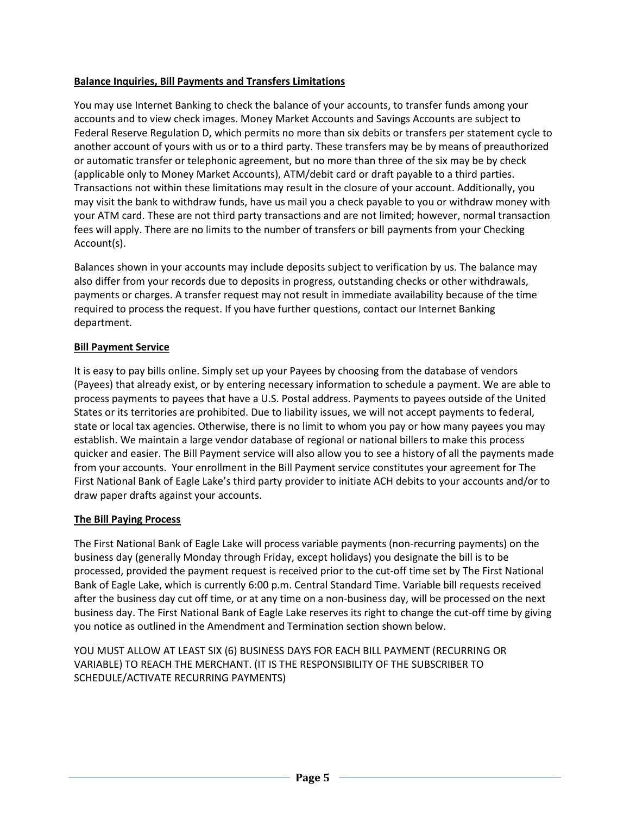# **Balance Inquiries, Bill Payments and Transfers Limitations**

You may use Internet Banking to check the balance of your accounts, to transfer funds among your accounts and to view check images. Money Market Accounts and Savings Accounts are subject to Federal Reserve Regulation D, which permits no more than six debits or transfers per statement cycle to another account of yours with us or to a third party. These transfers may be by means of preauthorized or automatic transfer or telephonic agreement, but no more than three of the six may be by check (applicable only to Money Market Accounts), ATM/debit card or draft payable to a third parties. Transactions not within these limitations may result in the closure of your account. Additionally, you may visit the bank to withdraw funds, have us mail you a check payable to you or withdraw money with your ATM card. These are not third party transactions and are not limited; however, normal transaction fees will apply. There are no limits to the number of transfers or bill payments from your Checking Account(s).

Balances shown in your accounts may include deposits subject to verification by us. The balance may also differ from your records due to deposits in progress, outstanding checks or other withdrawals, payments or charges. A transfer request may not result in immediate availability because of the time required to process the request. If you have further questions, contact our Internet Banking department.

## **Bill Payment Service**

It is easy to pay bills online. Simply set up your Payees by choosing from the database of vendors (Payees) that already exist, or by entering necessary information to schedule a payment. We are able to process payments to payees that have a U.S. Postal address. Payments to payees outside of the United States or its territories are prohibited. Due to liability issues, we will not accept payments to federal, state or local tax agencies. Otherwise, there is no limit to whom you pay or how many payees you may establish. We maintain a large vendor database of regional or national billers to make this process quicker and easier. The Bill Payment service will also allow you to see a history of all the payments made from your accounts. Your enrollment in the Bill Payment service constitutes your agreement for The First National Bank of Eagle Lake's third party provider to initiate ACH debits to your accounts and/or to draw paper drafts against your accounts.

## **The Bill Paying Process**

The First National Bank of Eagle Lake will process variable payments (non-recurring payments) on the business day (generally Monday through Friday, except holidays) you designate the bill is to be processed, provided the payment request is received prior to the cut-off time set by The First National Bank of Eagle Lake, which is currently 6:00 p.m. Central Standard Time. Variable bill requests received after the business day cut off time, or at any time on a non-business day, will be processed on the next business day. The First National Bank of Eagle Lake reserves its right to change the cut-off time by giving you notice as outlined in the Amendment and Termination section shown below.

YOU MUST ALLOW AT LEAST SIX (6) BUSINESS DAYS FOR EACH BILL PAYMENT (RECURRING OR VARIABLE) TO REACH THE MERCHANT. (IT IS THE RESPONSIBILITY OF THE SUBSCRIBER TO SCHEDULE/ACTIVATE RECURRING PAYMENTS)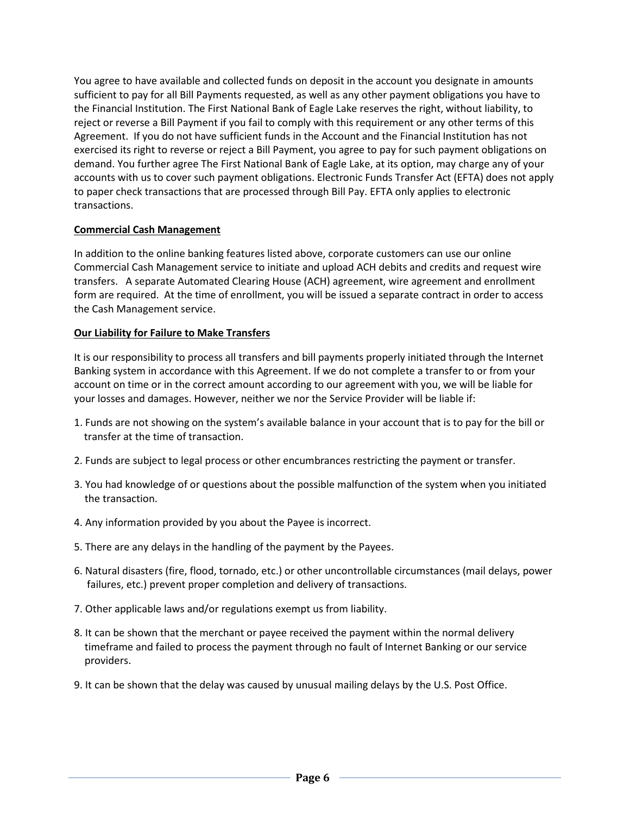You agree to have available and collected funds on deposit in the account you designate in amounts sufficient to pay for all Bill Payments requested, as well as any other payment obligations you have to the Financial Institution. The First National Bank of Eagle Lake reserves the right, without liability, to reject or reverse a Bill Payment if you fail to comply with this requirement or any other terms of this Agreement. If you do not have sufficient funds in the Account and the Financial Institution has not exercised its right to reverse or reject a Bill Payment, you agree to pay for such payment obligations on demand. You further agree The First National Bank of Eagle Lake, at its option, may charge any of your accounts with us to cover such payment obligations. Electronic Funds Transfer Act (EFTA) does not apply to paper check transactions that are processed through Bill Pay. EFTA only applies to electronic transactions.

## **Commercial Cash Management**

In addition to the online banking features listed above, corporate customers can use our online Commercial Cash Management service to initiate and upload ACH debits and credits and request wire transfers. A separate Automated Clearing House (ACH) agreement, wire agreement and enrollment form are required. At the time of enrollment, you will be issued a separate contract in order to access the Cash Management service.

### **Our Liability for Failure to Make Transfers**

It is our responsibility to process all transfers and bill payments properly initiated through the Internet Banking system in accordance with this Agreement. If we do not complete a transfer to or from your account on time or in the correct amount according to our agreement with you, we will be liable for your losses and damages. However, neither we nor the Service Provider will be liable if:

- 1. Funds are not showing on the system's available balance in your account that is to pay for the bill or transfer at the time of transaction.
- 2. Funds are subject to legal process or other encumbrances restricting the payment or transfer.
- 3. You had knowledge of or questions about the possible malfunction of the system when you initiated the transaction.
- 4. Any information provided by you about the Payee is incorrect.
- 5. There are any delays in the handling of the payment by the Payees.
- 6. Natural disasters (fire, flood, tornado, etc.) or other uncontrollable circumstances (mail delays, power failures, etc.) prevent proper completion and delivery of transactions.
- 7. Other applicable laws and/or regulations exempt us from liability.
- 8. It can be shown that the merchant or payee received the payment within the normal delivery timeframe and failed to process the payment through no fault of Internet Banking or our service providers.
- 9. It can be shown that the delay was caused by unusual mailing delays by the U.S. Post Office.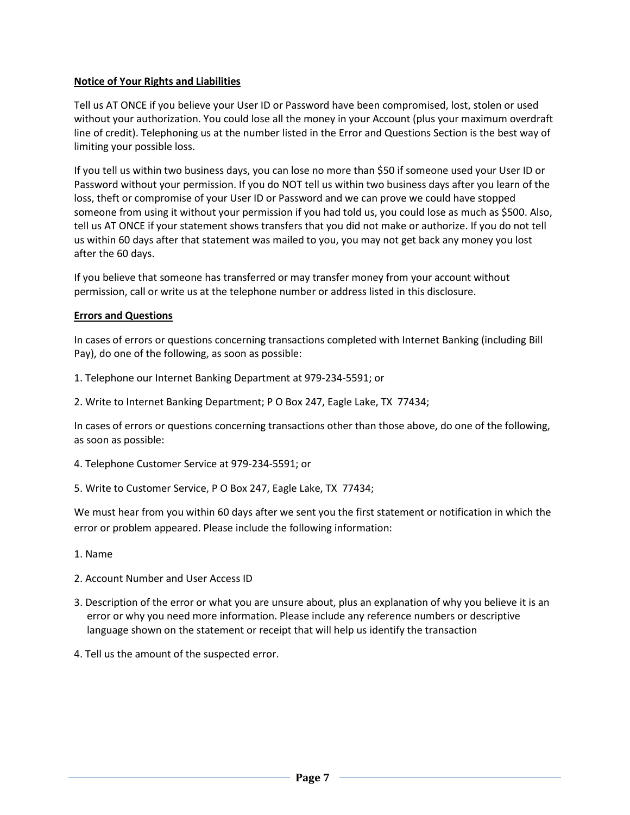### **Notice of Your Rights and Liabilities**

Tell us AT ONCE if you believe your User ID or Password have been compromised, lost, stolen or used without your authorization. You could lose all the money in your Account (plus your maximum overdraft line of credit). Telephoning us at the number listed in the Error and Questions Section is the best way of limiting your possible loss.

If you tell us within two business days, you can lose no more than \$50 if someone used your User ID or Password without your permission. If you do NOT tell us within two business days after you learn of the loss, theft or compromise of your User ID or Password and we can prove we could have stopped someone from using it without your permission if you had told us, you could lose as much as \$500. Also, tell us AT ONCE if your statement shows transfers that you did not make or authorize. If you do not tell us within 60 days after that statement was mailed to you, you may not get back any money you lost after the 60 days.

If you believe that someone has transferred or may transfer money from your account without permission, call or write us at the telephone number or address listed in this disclosure.

### **Errors and Questions**

In cases of errors or questions concerning transactions completed with Internet Banking (including Bill Pay), do one of the following, as soon as possible:

- 1. Telephone our Internet Banking Department at 979-234-5591; or
- 2. Write to Internet Banking Department; P O Box 247, Eagle Lake, TX 77434;

In cases of errors or questions concerning transactions other than those above, do one of the following, as soon as possible:

- 4. Telephone Customer Service at 979-234-5591; or
- 5. Write to Customer Service, P O Box 247, Eagle Lake, TX 77434;

We must hear from you within 60 days after we sent you the first statement or notification in which the error or problem appeared. Please include the following information:

- 1. Name
- 2. Account Number and User Access ID
- 3. Description of the error or what you are unsure about, plus an explanation of why you believe it is an error or why you need more information. Please include any reference numbers or descriptive language shown on the statement or receipt that will help us identify the transaction
- 4. Tell us the amount of the suspected error.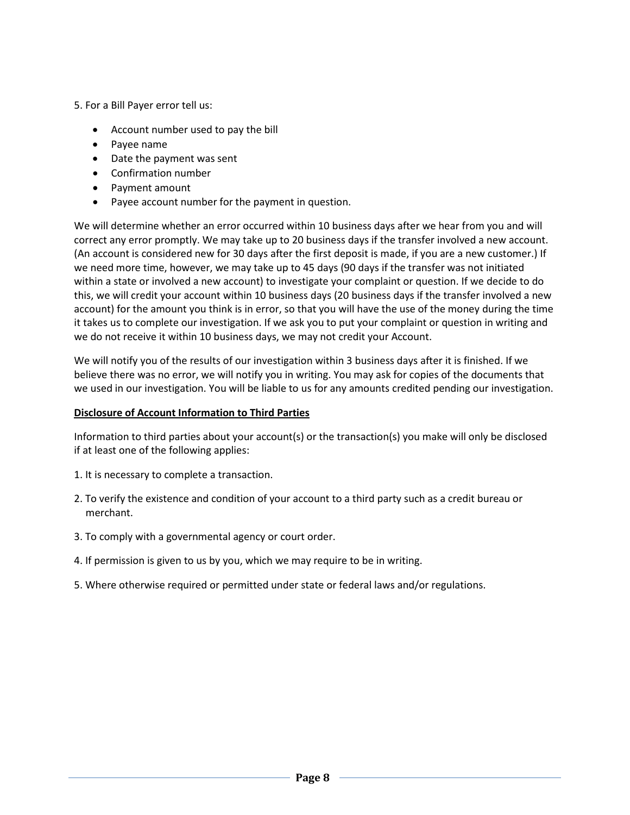- 5. For a Bill Payer error tell us:
	- Account number used to pay the bill
	- Payee name
	- Date the payment was sent
	- Confirmation number
	- Payment amount
	- Payee account number for the payment in question.

We will determine whether an error occurred within 10 business days after we hear from you and will correct any error promptly. We may take up to 20 business days if the transfer involved a new account. (An account is considered new for 30 days after the first deposit is made, if you are a new customer.) If we need more time, however, we may take up to 45 days (90 days if the transfer was not initiated within a state or involved a new account) to investigate your complaint or question. If we decide to do this, we will credit your account within 10 business days (20 business days if the transfer involved a new account) for the amount you think is in error, so that you will have the use of the money during the time it takes us to complete our investigation. If we ask you to put your complaint or question in writing and we do not receive it within 10 business days, we may not credit your Account.

We will notify you of the results of our investigation within 3 business days after it is finished. If we believe there was no error, we will notify you in writing. You may ask for copies of the documents that we used in our investigation. You will be liable to us for any amounts credited pending our investigation.

#### **Disclosure of Account Information to Third Parties**

Information to third parties about your account(s) or the transaction(s) you make will only be disclosed if at least one of the following applies:

- 1. It is necessary to complete a transaction.
- 2. To verify the existence and condition of your account to a third party such as a credit bureau or merchant.
- 3. To comply with a governmental agency or court order.
- 4. If permission is given to us by you, which we may require to be in writing.
- 5. Where otherwise required or permitted under state or federal laws and/or regulations.